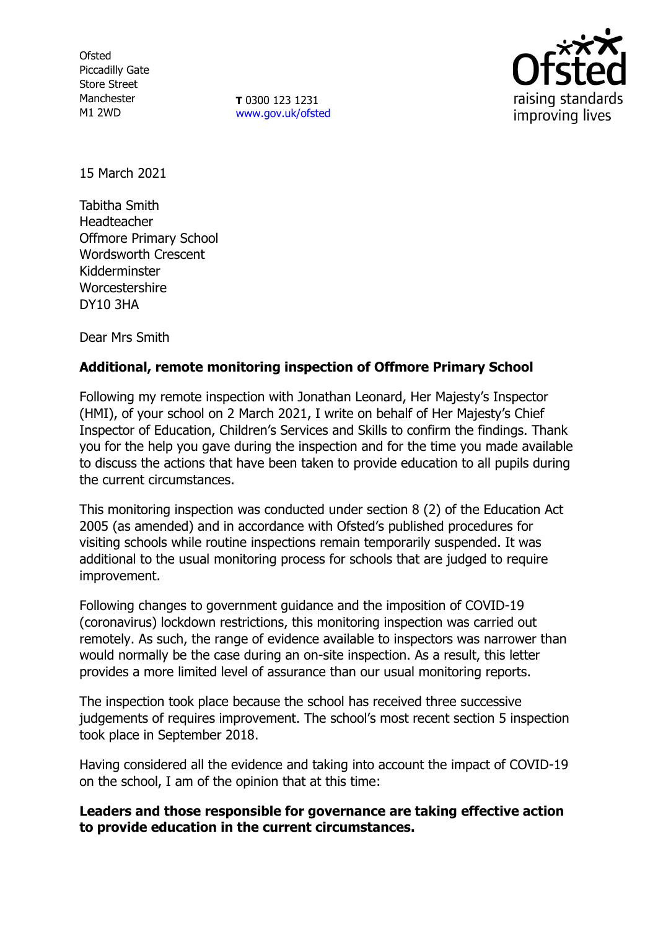**Ofsted** Piccadilly Gate Store Street Manchester M1 2WD

**T** 0300 123 1231 [www.gov.uk/ofsted](http://www.gov.uk/ofsted)



15 March 2021

Tabitha Smith Headteacher Offmore Primary School Wordsworth Crescent Kidderminster Worcestershire DY10 3HA

Dear Mrs Smith

# **Additional, remote monitoring inspection of Offmore Primary School**

Following my remote inspection with Jonathan Leonard, Her Majesty's Inspector (HMI), of your school on 2 March 2021, I write on behalf of Her Majesty's Chief Inspector of Education, Children's Services and Skills to confirm the findings. Thank you for the help you gave during the inspection and for the time you made available to discuss the actions that have been taken to provide education to all pupils during the current circumstances.

This monitoring inspection was conducted under section 8 (2) of the Education Act 2005 (as amended) and in accordance with Ofsted's published procedures for visiting schools while routine inspections remain temporarily suspended. It was additional to the usual monitoring process for schools that are judged to require improvement.

Following changes to government guidance and the imposition of COVID-19 (coronavirus) lockdown restrictions, this monitoring inspection was carried out remotely. As such, the range of evidence available to inspectors was narrower than would normally be the case during an on-site inspection. As a result, this letter provides a more limited level of assurance than our usual monitoring reports.

The inspection took place because the school has received three successive judgements of requires improvement. The school's most recent section 5 inspection took place in September 2018.

Having considered all the evidence and taking into account the impact of COVID-19 on the school, I am of the opinion that at this time:

## **Leaders and those responsible for governance are taking effective action to provide education in the current circumstances.**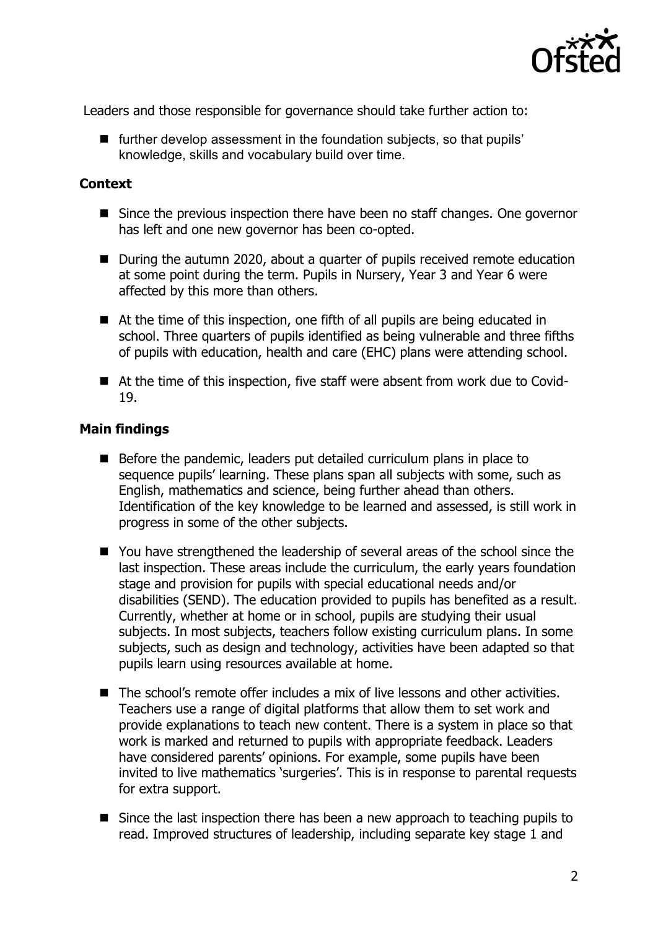

Leaders and those responsible for governance should take further action to:

■ further develop assessment in the foundation subjects, so that pupils' knowledge, skills and vocabulary build over time.

### **Context**

- Since the previous inspection there have been no staff changes. One governor has left and one new governor has been co-opted.
- During the autumn 2020, about a quarter of pupils received remote education at some point during the term. Pupils in Nursery, Year 3 and Year 6 were affected by this more than others.
- At the time of this inspection, one fifth of all pupils are being educated in school. Three quarters of pupils identified as being vulnerable and three fifths of pupils with education, health and care (EHC) plans were attending school.
- At the time of this inspection, five staff were absent from work due to Covid-19.

### **Main findings**

- Before the pandemic, leaders put detailed curriculum plans in place to sequence pupils' learning. These plans span all subjects with some, such as English, mathematics and science, being further ahead than others. Identification of the key knowledge to be learned and assessed, is still work in progress in some of the other subjects.
- You have strengthened the leadership of several areas of the school since the last inspection. These areas include the curriculum, the early years foundation stage and provision for pupils with special educational needs and/or disabilities (SEND). The education provided to pupils has benefited as a result. Currently, whether at home or in school, pupils are studying their usual subjects. In most subjects, teachers follow existing curriculum plans. In some subjects, such as design and technology, activities have been adapted so that pupils learn using resources available at home.
- The school's remote offer includes a mix of live lessons and other activities. Teachers use a range of digital platforms that allow them to set work and provide explanations to teach new content. There is a system in place so that work is marked and returned to pupils with appropriate feedback. Leaders have considered parents' opinions. For example, some pupils have been invited to live mathematics 'surgeries'. This is in response to parental requests for extra support.
- Since the last inspection there has been a new approach to teaching pupils to read. Improved structures of leadership, including separate key stage 1 and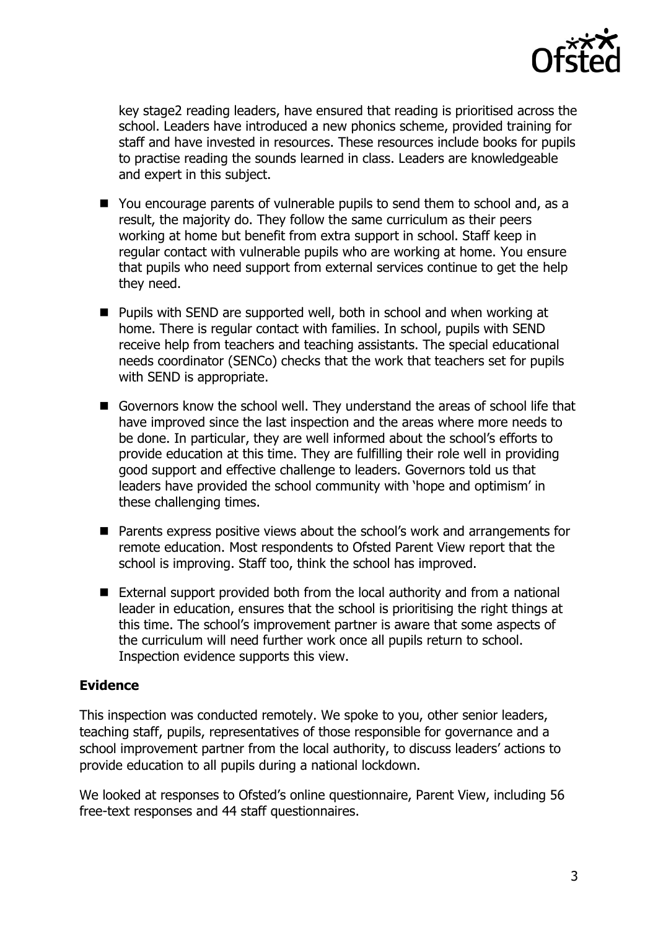

key stage2 reading leaders, have ensured that reading is prioritised across the school. Leaders have introduced a new phonics scheme, provided training for staff and have invested in resources. These resources include books for pupils to practise reading the sounds learned in class. Leaders are knowledgeable and expert in this subject.

- You encourage parents of vulnerable pupils to send them to school and, as a result, the majority do. They follow the same curriculum as their peers working at home but benefit from extra support in school. Staff keep in regular contact with vulnerable pupils who are working at home. You ensure that pupils who need support from external services continue to get the help they need.
- Pupils with SEND are supported well, both in school and when working at home. There is regular contact with families. In school, pupils with SEND receive help from teachers and teaching assistants. The special educational needs coordinator (SENCo) checks that the work that teachers set for pupils with SEND is appropriate.
- Governors know the school well. They understand the areas of school life that have improved since the last inspection and the areas where more needs to be done. In particular, they are well informed about the school's efforts to provide education at this time. They are fulfilling their role well in providing good support and effective challenge to leaders. Governors told us that leaders have provided the school community with 'hope and optimism' in these challenging times.
- Parents express positive views about the school's work and arrangements for remote education. Most respondents to Ofsted Parent View report that the school is improving. Staff too, think the school has improved.
- External support provided both from the local authority and from a national leader in education, ensures that the school is prioritising the right things at this time. The school's improvement partner is aware that some aspects of the curriculum will need further work once all pupils return to school. Inspection evidence supports this view.

### **Evidence**

This inspection was conducted remotely. We spoke to you, other senior leaders, teaching staff, pupils, representatives of those responsible for governance and a school improvement partner from the local authority, to discuss leaders' actions to provide education to all pupils during a national lockdown.

We looked at responses to Ofsted's online questionnaire, Parent View, including 56 free-text responses and 44 staff questionnaires.